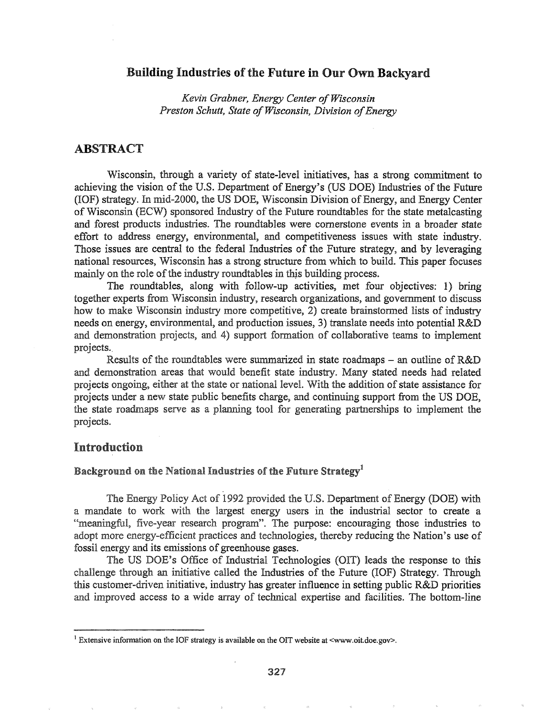# Building Industries of the Future in Our Own Backyard

*Kevin Grabner, Energy Center of Wisconsin Preston Schutt, State ofWisconsin, Division ofEnergy*

# ABSTRACT

Wisconsin, through a variety of state-level initiatives, has a strong commitment to achieving the vision of the U.S. Department of Energy's (US DOE) Industries of the Future (IOF) strategy. In mid-2000, the US DOE, Wisconsin Division of Energy, and Energy Center of Wisconsin (ECW) sponsored Industry of the Future roundtables for the state metalcasting and forest products industries. The roundtables were cornerstone events in a broader state effort to address energy, environmental, and competitiveness issues with state industry. Those issues are central to the federal Industries of the Future strategy, and by leveraging national resources, Wisconsin has a strong structure from which to build. This paper focuses mainly on the role of the industry roundtables in this building process.

The roundtables, along with follow-up activities, met four objectives: 1) bring together experts from Wisconsin industry, research organizations, and government to discuss how to make Wisconsin industry more competitive, 2) create brainstormed lists of industry needs on energy, environmental, and production issues, 3) translate needs into potential R&D and demonstration projects, and 4) support formation of collaborative teams to implement projects.

Results of the roundtables were summarized in state roadmaps - an outline of R&D and demonstration areas that would benefit state industry. Many stated needs had related projects ongoing, either at the state or national level. With the addition of state assistance for projects under a new state public benefits charge, and continuing support from the US DOE, the state roadmaps serve as a planning tool for generating partnerships to implement the projects..

## Introduction

Background on the National Industries of the Future Strategy<sup>1</sup>

The Energy Policy Act of 1992 provided the U.S. Department of Energy (DOE) with a mandate to work with the largest energy users in the industrial sector to create a "meaningful, five-year research program". The purpose: encouraging those industries to adopt more energy-efficient practices and technologies, thereby reducing the Nation's use of fossil energy and its emissions of greenhouse gases.

The US DOE's Office of Industrial Technologies (OIT) leads the response to this challenge through an initiative called the Industries of the Future (IOF) Strategy. Through customer-driven initiative, industry has greater influence in setting public R&D priorities and improved access to a wide array of technical expertise and facilities. The bottom-line

<sup>&</sup>lt;sup>1</sup> Extensive information on the IOF strategy is available on the OIT website at <www.oit.doe.gov>.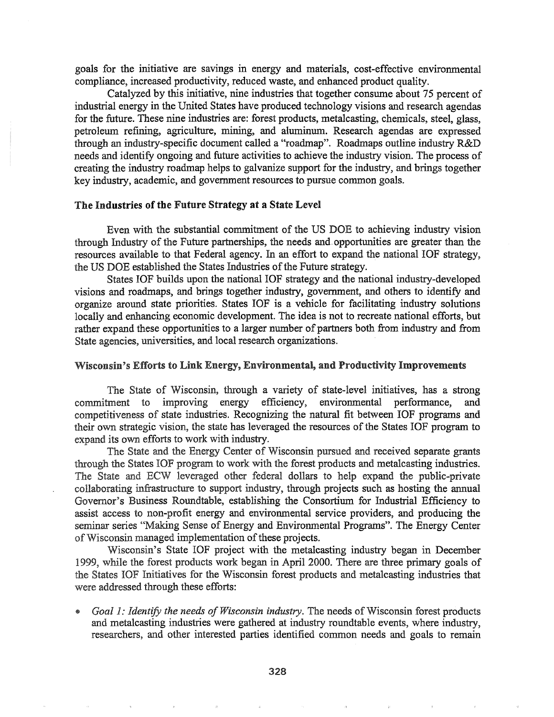goals for the initiative are savings in energy and materials, cost-effective environmental compliance, increased productivity, reduced waste, and enhanced product quality.

Catalyzed by this initiative, nine industries that together consume about 75 percent of industrial energy in the United States have produced technology visions and research agendas for the future. These nine industries are: forest products, metalcasting, chemicals, steel, glass, petroleum refining, agriculture, mining, and aluminum. Research agendas are expressed through an industry-specific document called a "roadmap". Roadmaps outline industry R&D needs and identify ongoing and future activities to achieve the industry vision. The process of creating the industry roadmap helps to galvanize support for the industry, and brings together key industry, academic, and government resources to pursue common goals.

### The Industries of the Future Strategy at a State Level

Even with the substantial commitment of the US DOE to achieving industry vision through Industry of the Future partnerships, the needs and opportunities are greater than the resources available to that Federal agency. In an effort to expand the national IOF strategy, the US DOE established the States Industries of the Future strategy.

States IOF builds upon the national IOF strategy and the national industry-developed visions and roadmaps, and brings together industry, government, and others to identify and organize around state priorities. States IOF is a vehicle for facilitating industry solutions locally and enhancing economic development. The idea is not to recreate national efforts, but rather expand these opportunities to a larger number of partners both from industry and from State agencies, universities, and local research organizations.

#### Wisconsin's Efforts to Link Energy, Environmental, and Productivity Improvements

The State of Wisconsin, through a variety of state-level initiatives, has a strong commitment to improving energy efficiency, environmental performance, and competitiveness of state industries. Recognizing the natural fit between IOF programs and their own strategic vision, the state has leveraged the resources of the States IOF program to expand its own efforts to work with industry.

The State and the Energy Center of Wisconsin pursued and received separate grants through the States IOF program to work with the forest products and metalcasting industries. The State and ECW leveraged other federal dollars to help expand the public-private collaborating infrastructure to support industry, through projects such as hosting the annual Governor's Business Roundtable, establishing the Consortium for Industrial Efficiency to assist access to non-profit energy and environmental service providers, and producing the seminar series "Making Sense of Energy and Environmental Programs". The Energy Center of Wisconsin managed implementation of these projects.

Wisconsin's State IOF project with the metalcasting industry began in December 1999, while the forest products work began in April 2000.. There are three primary goals of States IOF Initiatives for the Wisconsin forest products and metalcasting industries that were addressed through these efforts:

<sup>e</sup> *Goall.- Identify the needs ofWisconsin industry.* The needs ofWisconsin forest products and metalcasting industries were gathered at industry roundtable events, where industry, researchers, and other interested parties identified common needs and goals to remain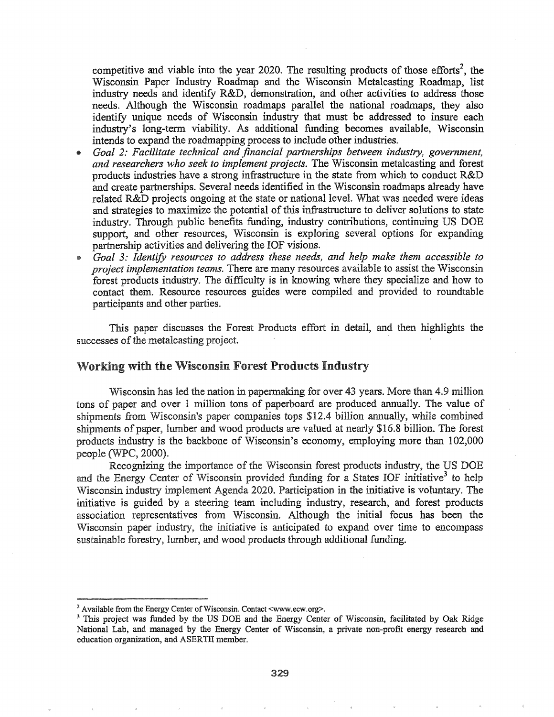competitive and viable into the year 2020. The resulting products of those efforts<sup>2</sup>, the Wisconsin Paper Industry Roadmap and the Wisconsin Metalcasting Roadmap, list industry needs and identify R&D, demonstration, and other activities to address those needs.. Although the Wisconsin roadmaps parallel the national roadmaps, they also identify unique needs of Wisconsin industry that must be addressed to insure each industry's long-term viability. As additional funding becomes available, Wisconsin intends to expand the roadmapping process to include other industries..

- *Goal* 2.· *Facilitate technical and financial partnerships between industry, government, and researchers who seek to implement projects.* The Wisconsin metalcasting and forest products industries have a strong infrastructure in the state from which to conduct R&D and create partnerships. Several needs identified in the Wisconsin roadmaps already have related R&D projects ongoing at the state or national level. What was needed were ideas and strategies to maximize the potential of this infrastructure to deliver solutions to state industry. Through public benefits funding, industry contributions, continuing US DOE support, and other resources, Wisconsin is exploring several options for expanding partnership activities and delivering the IOF visions.
- *Goal* 3&· *Identify resources to address these needs, and help make them accessible to project implementation teams..* There are many resources available to assist the Wisconsin forest products industry. The difficulty is in knowing where they specialize and how to contact them. Resource resources guides were compiled and provided to roundtable participants and other parties.

This paper discusses the Forest Products effort in detail, and then highlights the successes of the metalcasting project.

## Working with the Wisconsin Forest Products Industry

Wisconsin has led the nation in papermaking for over 43 years. More than 4.9 million tons of paper and over 1 million tons of paperboard are produced annually. The value of shipments from Wisconsin's paper companies tops \$12.4 billion annually, while combined shipments of paper, lumber and wood products are valued at nearly \$16.8 billion. The forest products industry is the backbone of Wisconsin's economy, employing more than 102,000 people (WPC, 2000).

Recognizing the importance of the Wisconsin forest products industry, the US DOE and the Energy Center of Wisconsin provided funding for a States IOF initiative<sup>3</sup> to help Wisconsin industry implement Agenda 2020. Participation in the initiative is voluntary. The initiative is guided by a steering team including industry, research, and forest products association representatives from Wisconsin. Although the initial focus has been the Wisconsin paper industry, the initiative is anticipated to expand over time to encompass sustainable forestry, lumber, and wood products through additional funding.

 $2$  Available from the Energy Center of Wisconsin. Contact <www.ecw.org>.

<sup>&</sup>lt;sup>3</sup> This project was funded by the US DOE and the Energy Center of Wisconsin, facilitated by Oak Ridge National Lab, and managed by the Energy Center of Wisconsin, a private non-profit energy research and education organization, and ASERTII member.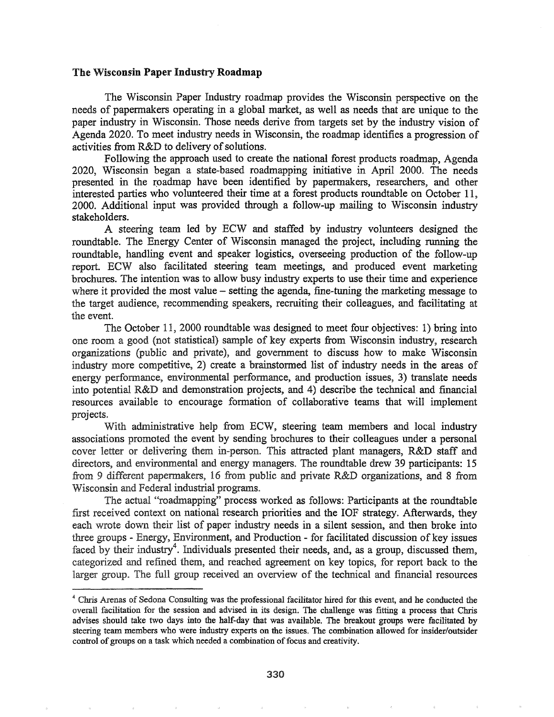#### The Wisconsin Paper Industry Roadmap

The Wisconsin Paper Industry roadmap provides the Wisconsin perspective on the needs of papermakers operating in a global market, as well as needs that are unique to the paper industry in Wisconsin. Those needs derive from targets set by the industry vision of Agenda 2020. To meet industry needs in Wisconsin, the roadmap identifies a progression of activities from R&D to delivery of solutions.

Following the approach used to create the national forest products roadmap, Agenda 2020, Wisconsin began a state-based roadmapping initiative in April 2000. The needs presented in the roadmap have been identified by papermakers, researchers, and other interested parties who volunteered their time at a forest products roundtable on October 11, 2000. Additional input was provided through a follow-up mailing to Wisconsin industry stakeholders.

A steering team led by ECW and staffed by industry volunteers designed the roundtable. The Energy Center of Wisconsin managed the project, including running the roundtable, handling event and speaker logistics, overseeing production of the follow-up report. ECW also facilitated steering team meetings, and produced event marketing brochures. The intention was to allow busy industry experts to use their time and experience where it provided the most value – setting the agenda, fine-tuning the marketing message to the target audience, recommending speakers, recruiting their colleagues, and facilitating at the event.

The October 11, 2000 roundtable was designed to meet four objectives: 1) bring into one room a good (not statistical) sample of key experts from Wisconsin industry, research organizations (public and private), and government to discuss how to make Wisconsin industry more competitive, 2) create a brainstormed list of industry needs in the areas of energy performance, environmental performance, and production issues, 3) translate needs into potential R&D and demonstration projects, and 4) describe the technical and financial resources available to encourage fonnation of collaborative teams that will implement projects.

With administrative help from ECW, steering team members and local industry associations promoted the event by sending brochures to their colleagues under a personal cover letter or delivering them in-person. This attracted plant managers, R&D staff and directors, and environmental and energy managers. The roundtable drew 39 participants: 15 from 9 different papermakers, 16 from public and private R&D organizations, and 8 from Wisconsin and Federal industrial programs.

The actual "roadmapping" process worked as follows: Participants at the roundtable first received context on national research priorities and the IOF strategy. Afterwards, they each wrote down their list of paper industry needs in a silent session, and then broke into three groups - Energy, Environment, and Production - for facilitated discussion of key issues faced by their industry<sup>4</sup>. Individuals presented their needs, and, as a group, discussed them, categorized and refmed them, and reached agreement on key topics, for report back to the larger group. The full group received an overview of the technical and financial resources

<sup>4</sup> Chris Arenas of Sedona Consulting was the professional facilitator hired for this event, and he conducted the overall facilitation for the session and advised in its design. The challenge was fitting a process that Chris advises should take two days into the half-day that was available. The breakout groups were facilitated by steering team members who were industry experts on the issues. The combination allowed for insider/outsider control of groups on a task which needed a combination of focus and creativity.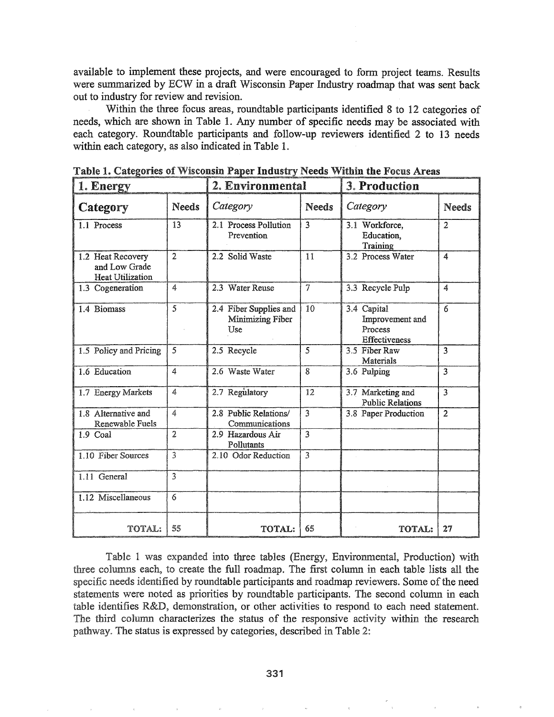available to implement these projects, and were encouraged to form project teams. Results were summarized by ECW in a draft Wisconsin Paper Industry roadmap that was sent back out to industry for review and revision.

Within the three focus areas, roundtable participants identified 8 to 12 categories of needs, which are shown in Table 1. Any number of specific needs may be associated with each category. Roundtable participants and follow-up reviewers identified 2 to 13 needs within each category, as also indicated in Table 1.

| 1. Energy                                                     |                 | 2. Environmental                                  |                | 3. Production                                                     |                         |
|---------------------------------------------------------------|-----------------|---------------------------------------------------|----------------|-------------------------------------------------------------------|-------------------------|
| Category                                                      | <b>Needs</b>    | Category                                          | <b>Needs</b>   | Category                                                          | <b>Needs</b>            |
| 1.1 Process                                                   | $\overline{13}$ | 2.1 Process Pollution<br>Prevention               | $\overline{3}$ | 3.1 Workforce,<br>Education,<br>Training                          | $\overline{2}$          |
| 1.2 Heat Recovery<br>and Low Grade<br><b>Heat Utilization</b> | $\overline{2}$  | 2.2 Solid Waste                                   | $\mathbf{11}$  | 3.2 Process Water                                                 | 4                       |
| 1.3 Cogeneration                                              | 4               | 2.3 Water Reuse                                   | 7              | 3.3 Recycle Pulp                                                  | 4                       |
| 1.4 Biomass                                                   | 5               | 2.4 Fiber Supplies and<br>Minimizing Fiber<br>Use | 10             | 3.4 Capital<br>Improvement and<br>Process<br><b>Effectiveness</b> | 6                       |
| 1.5 Policy and Pricing                                        | 5               | 2.5 Recycle                                       | 5              | 3.5 Fiber Raw<br>Materials                                        | 3                       |
| 1.6 Education                                                 | $\overline{A}$  | 2.6 Waste Water                                   | 8              | 3.6 Pulping                                                       | $\overline{3}$          |
| 1.7 Energy Markets                                            | 4               | 2.7 Regulatory                                    | 12             | 3.7 Marketing and<br><b>Public Relations</b>                      | $\overline{\mathbf{3}}$ |
| 1.8 Alternative and<br>Renewable Fuels                        | 4               | 2.8 Public Relations/<br>Communications           | $\overline{3}$ | 3.8 Paper Production                                              | $\overline{2}$          |
| 1.9 Coal                                                      | $\overline{2}$  | 2.9 Hazardous Air<br>Pollutants                   | $\overline{3}$ |                                                                   |                         |
| 1.10 Fiber Sources                                            | $\overline{3}$  | 2.10 Odor Reduction                               | 3              |                                                                   |                         |
| 1.11 General                                                  | $\overline{3}$  |                                                   |                |                                                                   |                         |
| 1.12 Miscellaneous                                            | 6               |                                                   |                |                                                                   |                         |
| TOTAL:                                                        | 55              | <b>TOTAL:</b>                                     | 65             | TOTAL:                                                            | 27                      |

Table 1. Categories of Wisconsin Paper Industry Needs Within the Focus Areas

Table 1 was expanded into three tables (Energy, Environmental, Production) with three columns each, to create the full roadmap. The first column in each table lists all the specific needs identified by roundtable participants and roadmap reviewers. Some of the need statements were noted as priorities by roundtable participants. The second column in each table identifies R&D, demonstration, or other activities to respond to each need statement. The third column characterizes the status of the responsive activity within the research pathway. The status is expressed by categories, described in Table 2: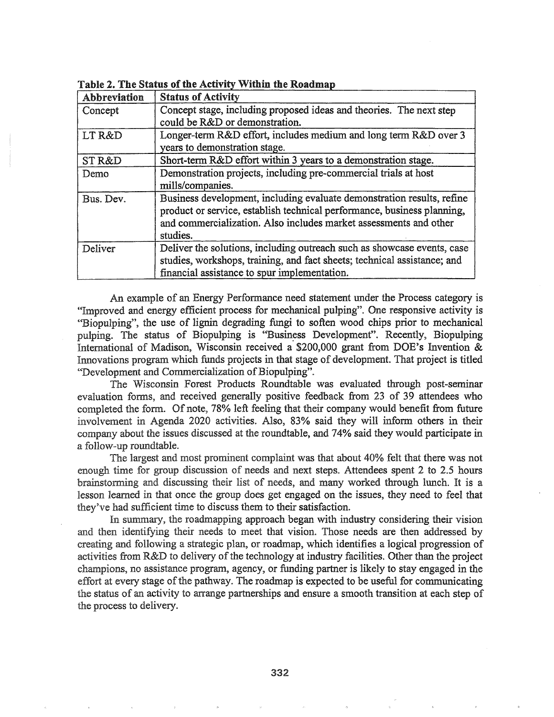| Abbreviation | <b>Status of Activity</b>                                                |
|--------------|--------------------------------------------------------------------------|
| Concept      | Concept stage, including proposed ideas and theories. The next step      |
|              | could be R&D or demonstration.                                           |
| LT R&D       | Longer-term R&D effort, includes medium and long term R&D over 3         |
|              | years to demonstration stage.                                            |
| STR&D        | Short-term R&D effort within 3 years to a demonstration stage.           |
| Demo         | Demonstration projects, including pre-commercial trials at host          |
|              | mills/companies.                                                         |
| Bus. Dev.    | Business development, including evaluate demonstration results, refine   |
|              | product or service, establish technical performance, business planning,  |
|              | and commercialization. Also includes market assessments and other        |
|              | studies.                                                                 |
| Deliver      | Deliver the solutions, including outreach such as showcase events, case  |
|              | studies, workshops, training, and fact sheets; technical assistance; and |
|              | financial assistance to spur implementation.                             |

Table 2. The Status of the Activity Within the Roadmap

An example of an Energy Performance need statement under the Process category is "Improved and energy efficient process for mechanical pulping". One responsive activity is "Biopulping", the use of lignin degrading fungi to soften wood chips prior to mechanical pulping. The status of Biopulping is "Business Development". Recently, Biopulping International of Madison, Wisconsin received a \$200,000 grant from DOE's Invention  $&$ Innovations program which funds projects in that stage of development. That project is titled "Development and Commercialization of Biopulping".

The Wisconsin Forest Products Roundtable was evaluated through post-seminar evaluation fonns, and received generally positive feedback from 23 of 39 attendees who completed the form. Of note, 78% left feeling that their company would benefit from future involvement in Agenda 2020 activities. Also, 83% said they will inform others in their company about the issues discussed at the roundtable, and 74% said they would participate jn a follow-up roundtable.

The largest and most prominent complaint was that about 40% felt that there was not enough time for group discussion of needs and next steps. Attendees spent 2 to 2.5 hours brainstorming and discussing their list of needs, and many worked through lunch. It is a lesson learned in that once the group does get engaged on the issues, they need to feel that they've had sufficient time to discuss them to their satisfaction..

In summary, the roadmapping approach began with industry considering their vision and then identifying their needs to meet that vision. Those needs are then addressed by creating and following a strategic plan, or roadmap, which identifies a logical progression of activities from  $R&D$  to delivery of the technology at industry facilities. Other than the project champions, no assistance program, agency, or funding partner is likely to stay engaged in the effort at every stage of the pathway. The roadmap is expected to be useful for communicating the status of an activity to arrange partnerships and ensure a smooth transition at each step of the process to delivery.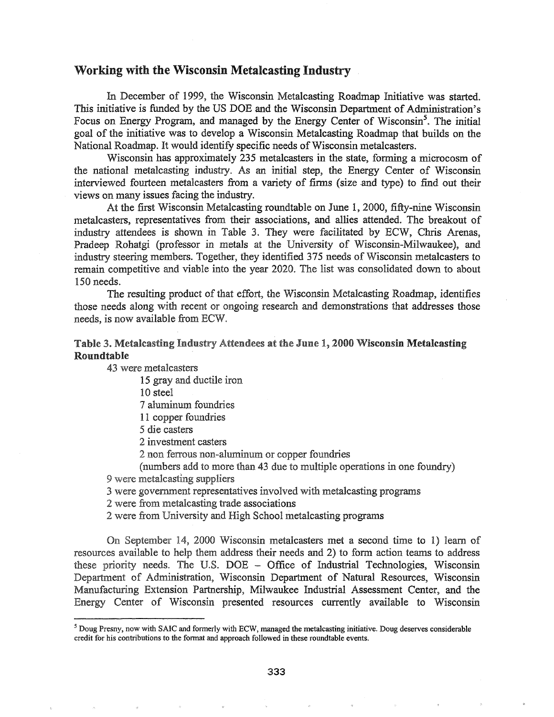# Working with the Wisconsin Metalcasting Industry

In December of 1999, the Wisconsin Metalcasting Roadmap Initiative was started. This initiative is funded by the US DOE and the Wisconsin Department of Administration's Focus on Energy Program, and managed by the Energy Center of Wisconsin<sup>5</sup>. The initial goal of the initiative was to develop a Wisconsin Metalcasting Roadmap that builds on the National Roadmap. It would identify specific needs of Wisconsin metalcasters.

Wisconsin has approximately 235 metalcasters in the state, forming a microcosm of the national metalcasting industry.. As an initial step, the Energy Center of Wisconsin interviewed fourteen metalcasters from a variety of firms (size and type) to find out their views on many issues facing the industry..

At the first Wisconsin Metalcasting roundtable on June 1, 2000, fifty-nine Wisconsin metalcasters, representatives from their associations, and allies attended. The breakout of industry attendees is shown in Table 3. They were facilitated by ECW, Chris Arenas, Pradeep Rohatgi (professor in metals at the University of Wisconsin-Milwaukee), and industry steering members. Together, they identified 375 needs of Wisconsin metalcasters to remain competitive and viable into the year 2020. The list was consolidated down to about  $150$  needs.

The resulting product of that effort, the Wisconsin Metalcasting Roadmap, identifies those needs along with recent or ongoing research and demonstrations that addresses those needs, is now available from

# Roundtable Table 3. Metalcasting Industry Attendees at the June 1, 2000 Wisconsin Metalcasting

43 were metalcasters

15 gray and ductile iron

10 steel

7 aluminum foundries

11 copper foundries

5 die casters

2 investment casters

2 non ferrous non-aluminum or copper foundries

(numbers add to more than 43 due to multiple operations in one foundry)

9 were metal casting suppliers

3 were government representatives involved with metalcasting programs

2 were from metalcasting trade associations

2 were from University and High School metalcasting programs

On September 14, 2000 Wisconsin metalcasters met a second time to 1) learn of resources available to help them address their needs and 2) to form action teams to address these priority needs. The U.S. DOE  $-$  Office of Industrial Technologies, Wisconsin Department of Administration, Wisconsin Department of Natural Resources, Wisconsin Manufacturing Extension Partnership, Milwaukee Industrial Assessment Center, and the Energy Center of Wisconsin presented resources currently available to Wisconsin

 $<sup>5</sup>$  Doug Presny, now with SAIC and formerly with ECW, managed the metalcasting initiative. Doug deserves considerable</sup> credit for his contributions to the fonnat and approach followed in these roundtable events.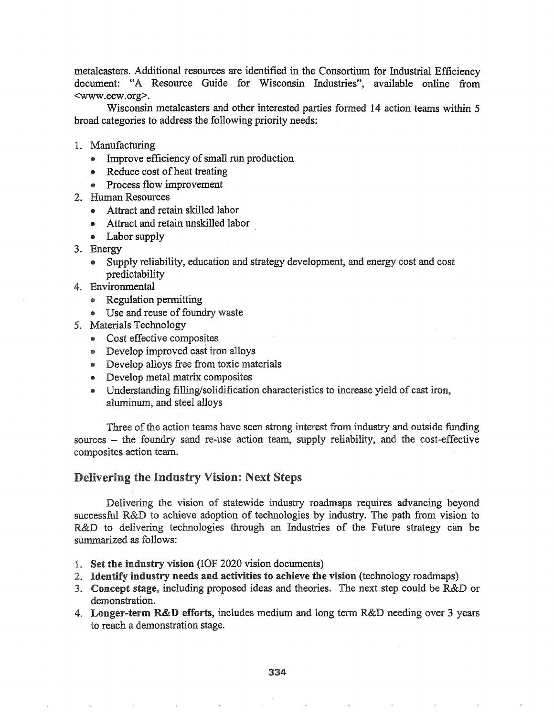metalcasters. Additional resources are identified in the Consortium for Industrial Efficiency document: "A Resource Guide for Wisconsin Industries", available online from <www.ecw.org>.

Wisconsin metalcasters and other interested parties formed 14 action teams within 5 broad categories to address the following priority needs:

- 1. Manufacturing
	- Improve efficiency of small run production
	- Reduce cost of heat treating
	- Process flow improvement
- 2.. Human Resources
	- Attract and retain skilled labor
	- Attract and retain unskilled labor
	- Labor supply
- 3.. Energy
	- Supply reliability, education and strategy development, and energy cost and cost predictability
- 4. Environmental
	- Regulation permitting
	- Use and reuse of foundry waste
- 5. Materials Technology
	- Cost effective composites
	- Develop improved cast iron alloys
	- .. Develop alloys free from toxic materials
	- Develop metal matrix composites
	- Understanding filling/solidification characteristics to increase yield of cast iron, aluminum, and steel alloys

Three of the action teams have seen strong interest from industry and outside funding sources - the foundry sand re-use action team, supply reliability, and the cost-effective composites action team.

# Delivering the Industry Vision: Next Steps

Delivering the vision of statewide industry roadmaps requires advancing beyond successful R&D to achieve adoption of technologies by industry. The path from vision to R&D to delivering technologies through an Industries of the Future strategy can be summarized as follows:

- 1. Set the industry vision (IOF 2020 vision documents)
- 2. Identify industry needs and activities to achieve the vision (technology roadmaps)
- Concept stage, including proposed ideas and theories. The next step could be R&D or demonstration..
- 4.. Longer-term R&D efforts, includes medium and long term R&D needing over 3 years to reach a demonstration stage..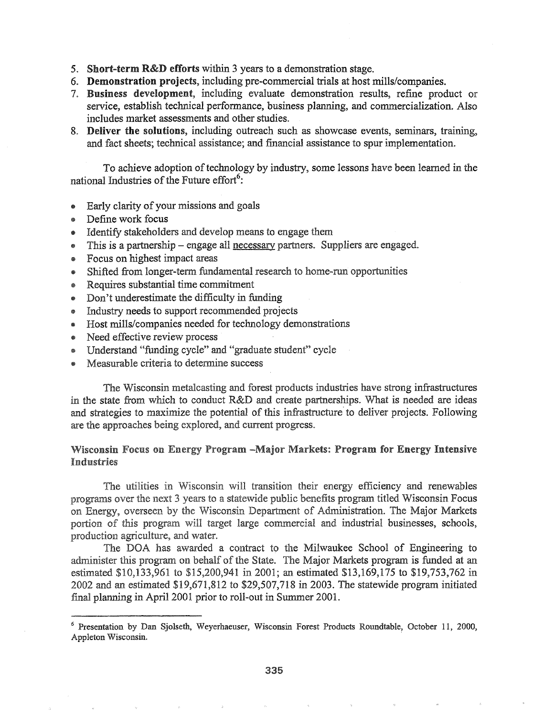- 5. Short-term R&D efforts within 3 years to a demonstration stage.
- 6. Demonstration projects, including pre-commercial trials at host mills/companies.
- 7. Business development, including evaluate demonstration results, refine product or service, establish technical performance, business planning, and commercialization. Also includes market assessments and other studies.
- 8. Deliver the solutions, including outreach such as showcase events, seminars, training, and fact sheets; technical assistance; and financial assistance to spur implementation.

To achieve adoption of technology by industry, some lessons have been learned in the national Industries of the Future effort<sup>6</sup>:

- Early clarity of your missions and goals
- Define work focus
- Identify stakeholders and develop means to engage them
- $\bullet$  This is a partnership engage all necessary partners. Suppliers are engaged.
- @ Focus on highest impact areas
- Shifted from longer-term fundamental research to home-run opportunities
- Requires substantial time commitment
- Don't underestimate the difficulty in funding
- ® Industry needs to support recommended projects
- @ Host mills/companies needed for technology demonstrations
- Need effective review process
- @ Understand "funding cycle" and "graduate student" cycle
- Measurable criteria to determine success

are the approaches being explored, and current progress. The Wisconsin metalcasting and forest products industries have strong infrastructures in the state from which to conduct R&D and create partnerships. What is needed are ideas infrastructure to deliver projects. Following

### Wisconsin Focus on Energy Program -Major Markets: Program for Energy Intensive **Industries**

The utilities in Wisconsin will transition their energy efficiency and renewables programs over the next 3 years to a statewide public benefits program titled Wisconsin Focus on Energy, overseen by the Wisconsin Department of Administration. The Major Markets portion of this program will target large commercial and industrial businesses, schools, production agriculture, and water.

The DOA has awarded a contract to the Milwaukee School of Engineering to administer this program on behalf of the State. The Major Markets program is funded at an estimated \$10,133,961 to \$15,200,941 in 2001; an estimated \$13,169,175 to \$19,753,762 in 2002 and an estimated \$19,671,812 to \$29,507,718 in 2003. The statewide program initiated final planning in April 2001 prior to roll-out in Summer 2001.

<sup>6</sup> Presentation by Dan Sjolseth, Weyerhaeuser, Wisconsin Forest Products Roundtable, October 11, 2000, Appleton Wisconsin.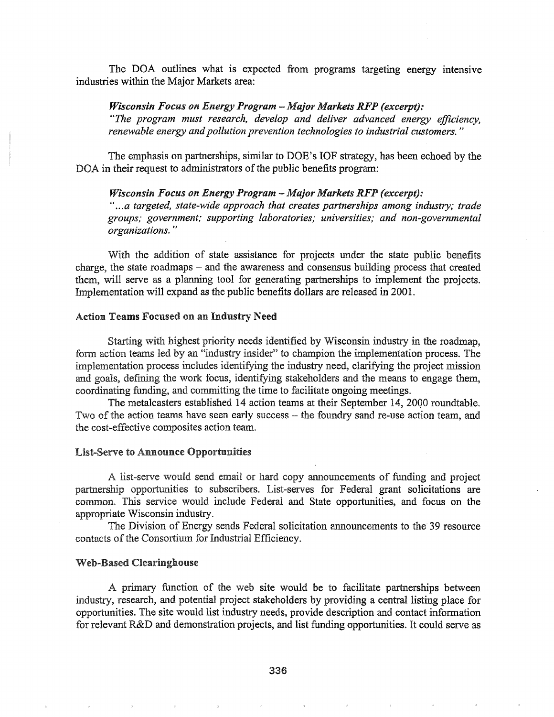The DOA outlines what is expected from programs targeting energy intensive industries within the Major Markets area:

#### *Wisconsin Focus on Energy Program* - *Major Markets RFP (excerpt):*

*liThe program must research, develop and deliver advanced energy efficiency, renewable energy and pollution prevention technologies to industrial customers.* "

The emphasis on partnerships, similar to DOE's IOF strategy, has been echoed by the DOA in their request to administrators of the public benefits program:

*Wisconsin Focus on Energy Program* - *Major Markets RFP (excerpt):* <sup>H</sup> •••*a targeted, state-wide approach that creates partnerships among industry," trade groups; government,· supporting laboratories; universities; and non-governmental organizations. "*

With the addition of state assistance for projects under the state public benefits charge, the state roadmaps – and the awareness and consensus building process that created them, will serve as a planning tool for generating partnerships to implement the projects. Implementation will expand as the public benefits dollars are released in 2001.

#### Action Teams Focused on an Industry Need

Starting with highest priority needs identified by Wisconsin industry in the roadmap, form action teams led by an "industry insider" to champion the implementation process. The implementation process includes identifying the industry need, clarifying the project mission and goals, defining the work focus, identifying stakeholders and the means to engage them, coordinating funding, and committing the time to facilitate ongoing meetings.

The metalcasters established 14 action teams at their September 14, 2000 roundtable. Two of the action teams have seen early success - the foundry sand re-use action team, and the cost-effective composites action team.

#### **List-Serve to Announce Opportunities**

A list-serve would send email or hard copy announcements of funding and project partnership opportunities to subscribers. List-serves for Federal grant solicitations are common. This service would include Federal and State opportunities, and focus on the appropriate Wisconsin industry.

The Division of Energy sends Federal solicitation announcements to the 39 resource contacts of the Consortium for Industrial Efficiency.

#### Web-Based Clearinghouse

A primary function of the web site would be to facilitate partnerships between industry, research, and potential project stakeholders by providing a central listing place for opportunities. The site would list industry needs, provide description and contact information for relevant R&D and demonstration projects, and list funding opportunities. It could serve as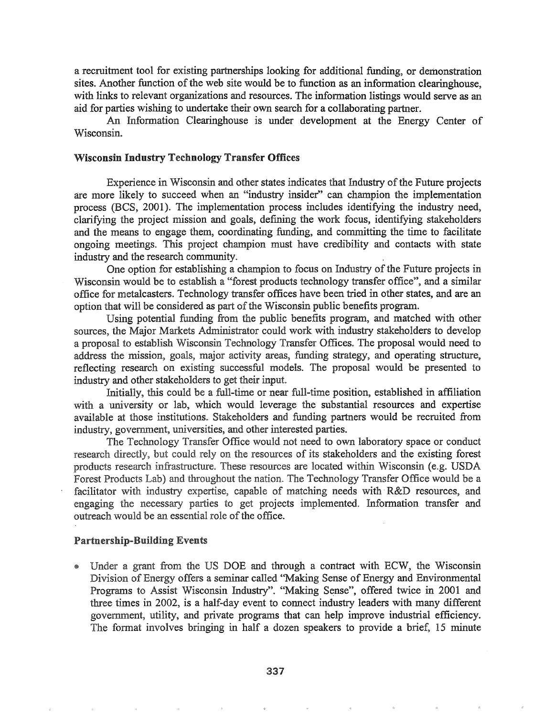a recruitment tool for existing partnerships looking for additional funding, or demonstration sites. Another function of the web site would be to function as an information clearinghouse, with links to relevant organizations and resources. The information listings would serve as an aid for parties wishing to undertake their own search for a collaborating partner.

An Information Clearinghouse is under development at the Energy Center of Wisconsin.

#### Wisconsin Industry Technology Transfer Offices

Experience in Wisconsin and other states indicates that Industry ofthe Future projects are more likely to succeed when an "industry insider" can champion the implementation process (BCS, 2001). The implementation process includes identifying the industry need, clarifying the project mission and goals, defining the work focus, identifying stakeholders and the means to engage them, coordinating funding, and committing the time to facilitate ongoing meetings. This project champion must have credibility and contacts with state industry and the research community.

One option for establishing a champion to focus on Industry of the Future projects in Wisconsin would be to establish a "forest products technology transfer office", and a similar office for metalcasters. Technology transfer offices have been tried in other states, and are an option that will be considered as part of the Wisconsin public benefits program.

Using potential funding from the public benefits program, and matched with other sources, the Major Markets Administrator could work with industry stakeholders to develop a proposal to establish Wisconsin Technology Transfer Offices. The proposal would need to address the mission, goals, major activity areas, funding strategy, and operating structure, reflecting research on existing successful models. The proposal would be presented to industry and other stakeholders to get their input.

Initially, this could be a full-time or near full-time position, established in affiliation with a university or lab, which would leverage the substantial resources and expertise available at those institutions. Stakeholders and funding partners would be recruited from industry, government, universities, and other interested parties.

The Technology Transfer Office would not need to own laboratory space or conduct research directly, but could rely on the resources of its stakeholders and the existing forest products research infrastructure. These resources are located within Wisconsin (e.g. USDA Forest Products Lab) and throughout the nation. The Technology Transfer Office would be a facilitator with industry expertise, capable of matching needs with R&D resources, and engaging the necessary parties to get projects implemented. Information transfer and outreach would be an essential role of the office.

#### **Partnership-Building Events**

Under a grant from the US DOE and through a contract with ECW, the Wisconsin Division of Energy offers a seminar called "Making Sense of Energy and Environmental Programs to Assist Wisconsin Industry". "Making Sense", offered twice in 2001 and three times in 2002, IS a half-day event to connect industry leaders with many different government, utility, and private programs that can help improve industrial efficiency. The format involves bringing in half a dozen speakers to provide a brief, 15 minute